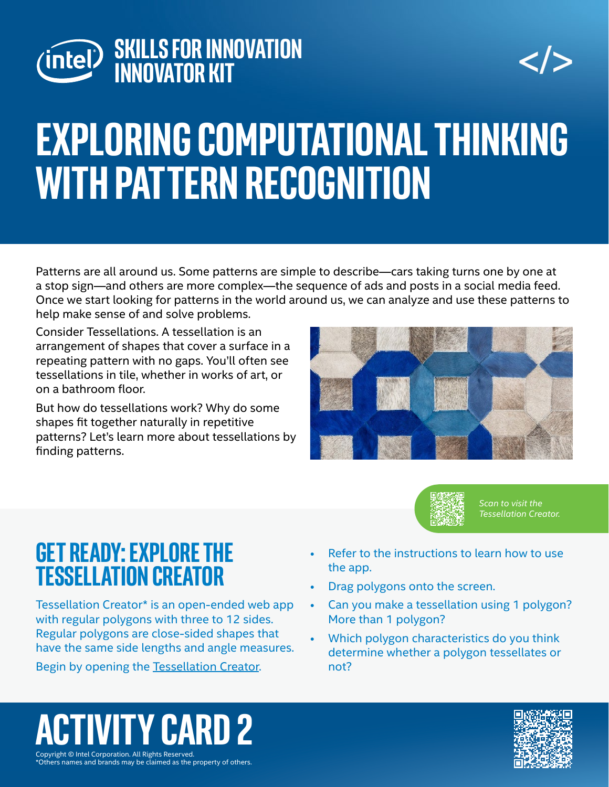



# **exploring computational thinking with pattern recognition**

Patterns are all around us. Some patterns are simple to describe—cars taking turns one by one at a stop sign—and others are more complex—the sequence of ads and posts in a social media feed. Once we start looking for patterns in the world around us, we can analyze and use these patterns to help make sense of and solve problems.

Consider Tessellations. A tessellation is an arrangement of shapes that cover a surface in a repeating pattern with no gaps. You'll often see tessellations in tile, whether in works of art, or on a bathroom floor.

But how do tessellations work? Why do some shapes fit together naturally in repetitive patterns? Let's learn more about tessellations by finding patterns.





*Scan to visit the Tessellation Creator.*

#### **Get Ready: explore the Tessellation creator**

Tessellation Creator\* is an open-ended web app with regular polygons with three to 12 sides. Regular polygons are close-sided shapes that have the same side lengths and angle measures. Begin by opening the [Tessellation Creator](https://www.nctm.org/Classroom-Resources/Illuminations/Interactives/Tessellation-Creator/).

- Refer to the instructions to learn how to use the app.
- Drag polygons onto the screen.
- Can you make a tessellation using 1 polygon? More than 1 polygon?
- Which polygon characteristics do you think determine whether a polygon tessellates or not?